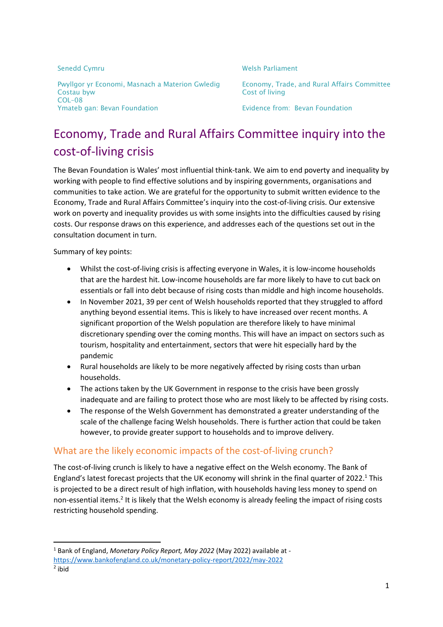| Pwyllgor yr Economi, Masnach a Materion Gw<br>Costau byw<br>COL-08 |
|--------------------------------------------------------------------|
|                                                                    |
|                                                                    |
|                                                                    |
| Ymateb gan: Bevan Foundation                                       |

#### Senedd Cymru Nelson and Cymru Welsh Parliament

vledig Economy, Trade, and Rural Affairs Committee Cost of living

Evidence from: Bevan Foundation

# Economy, Trade and Rural Affairs Committee inquiry into the cost-of-living crisis

The Bevan Foundation is Wales' most influential think-tank. We aim to end poverty and inequality by working with people to find effective solutions and by inspiring governments, organisations and communities to take action. We are grateful for the opportunity to submit written evidence to the Economy, Trade and Rural Affairs Committee's inquiry into the cost-of-living crisis. Our extensive work on poverty and inequality provides us with some insights into the difficulties caused by rising costs. Our response draws on this experience, and addresses each of the questions set out in the consultation document in turn.

Summary of key points:

**.** 

- Whilst the cost-of-living crisis is affecting everyone in Wales, it is low-income households that are the hardest hit. Low-income households are far more likely to have to cut back on essentials or fall into debt because of rising costs than middle and high income households.
- In November 2021, 39 per cent of Welsh households reported that they struggled to afford anything beyond essential items. This is likely to have increased over recent months. A significant proportion of the Welsh population are therefore likely to have minimal discretionary spending over the coming months. This will have an impact on sectors such as tourism, hospitality and entertainment, sectors that were hit especially hard by the pandemic
- Rural households are likely to be more negatively affected by rising costs than urban households.
- The actions taken by the UK Government in response to the crisis have been grossly inadequate and are failing to protect those who are most likely to be affected by rising costs.
- The response of the Welsh Government has demonstrated a greater understanding of the scale of the challenge facing Welsh households. There is further action that could be taken however, to provide greater support to households and to improve delivery.

#### What are the likely economic impacts of the cost-of-living crunch?

The cost-of-living crunch is likely to have a negative effect on the Welsh economy. The Bank of England's latest forecast projects that the UK economy will shrink in the final quarter of 2022.<sup>1</sup> This is projected to be a direct result of high inflation, with households having less money to spend on non-essential items.<sup>2</sup> It is likely that the Welsh economy is already feeling the impact of rising costs restricting household spending.

<sup>1</sup> Bank of England, *Monetary Policy Report, May 2022* (May 2022) available at -

<https://www.bankofengland.co.uk/monetary-policy-report/2022/may-2022> 2 ibid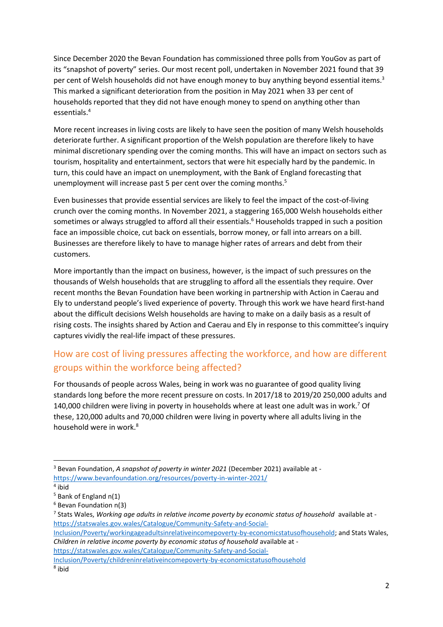Since December 2020 the Bevan Foundation has commissioned three polls from YouGov as part of its "snapshot of poverty" series. Our most recent poll, undertaken in November 2021 found that 39 per cent of Welsh households did not have enough money to buy anything beyond essential items.<sup>3</sup> This marked a significant deterioration from the position in May 2021 when 33 per cent of households reported that they did not have enough money to spend on anything other than essentials.<sup>4</sup>

More recent increases in living costs are likely to have seen the position of many Welsh households deteriorate further. A significant proportion of the Welsh population are therefore likely to have minimal discretionary spending over the coming months. This will have an impact on sectors such as tourism, hospitality and entertainment, sectors that were hit especially hard by the pandemic. In turn, this could have an impact on unemployment, with the Bank of England forecasting that unemployment will increase past 5 per cent over the coming months.<sup>5</sup>

Even businesses that provide essential services are likely to feel the impact of the cost-of-living crunch over the coming months. In November 2021, a staggering 165,000 Welsh households either sometimes or always struggled to afford all their essentials.<sup>6</sup> Households trapped in such a position face an impossible choice, cut back on essentials, borrow money, or fall into arrears on a bill. Businesses are therefore likely to have to manage higher rates of arrears and debt from their customers.

More importantly than the impact on business, however, is the impact of such pressures on the thousands of Welsh households that are struggling to afford all the essentials they require. Over recent months the Bevan Foundation have been working in partnership with Action in Caerau and Ely to understand people's lived experience of poverty. Through this work we have heard first-hand about the difficult decisions Welsh households are having to make on a daily basis as a result of rising costs. The insights shared by Action and Caerau and Ely in response to this committee's inquiry captures vividly the real-life impact of these pressures.

### How are cost of living pressures affecting the workforce, and how are different groups within the workforce being affected?

For thousands of people across Wales, being in work was no guarantee of good quality living standards long before the more recent pressure on costs. In 2017/18 to 2019/20 250,000 adults and 140,000 children were living in poverty in households where at least one adult was in work.<sup>7</sup> Of these, 120,000 adults and 70,000 children were living in poverty where all adults living in the household were in work.<sup>8</sup>

**.** 

[https://statswales.gov.wales/Catalogue/Community-Safety-and-Social-](https://statswales.gov.wales/Catalogue/Community-Safety-and-Social-Inclusion/Poverty/childreninrelativeincomepoverty-by-economicstatusofhousehold)

[Inclusion/Poverty/childreninrelativeincomepoverty-by-economicstatusofhousehold](https://statswales.gov.wales/Catalogue/Community-Safety-and-Social-Inclusion/Poverty/childreninrelativeincomepoverty-by-economicstatusofhousehold)

<sup>3</sup> Bevan Foundation, *A snapshot of poverty in winter 2021* (December 2021) available at <https://www.bevanfoundation.org/resources/poverty-in-winter-2021/>

<sup>4</sup> ibid

 $5$  Bank of England n(1)

<sup>6</sup> Bevan Foundation n(3)

<sup>7</sup> Stats Wales, *Working age adults in relative income poverty by economic status of household* available at [https://statswales.gov.wales/Catalogue/Community-Safety-and-Social-](https://statswales.gov.wales/Catalogue/Community-Safety-and-Social-Inclusion/Poverty/workingageadultsinrelativeincomepoverty-by-economicstatusofhousehold)

[Inclusion/Poverty/workingageadultsinrelativeincomepoverty-by-economicstatusofhousehold;](https://statswales.gov.wales/Catalogue/Community-Safety-and-Social-Inclusion/Poverty/workingageadultsinrelativeincomepoverty-by-economicstatusofhousehold) and Stats Wales, *Children in relative income poverty by economic status of household* available at -

<sup>8</sup> ibid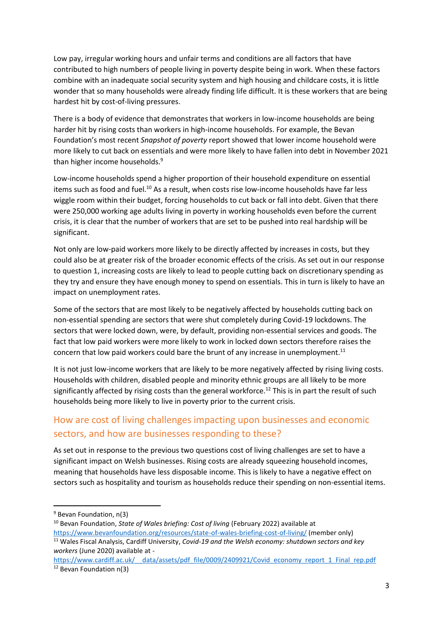Low pay, irregular working hours and unfair terms and conditions are all factors that have contributed to high numbers of people living in poverty despite being in work. When these factors combine with an inadequate social security system and high housing and childcare costs, it is little wonder that so many households were already finding life difficult. It is these workers that are being hardest hit by cost-of-living pressures.

There is a body of evidence that demonstrates that workers in low-income households are being harder hit by rising costs than workers in high-income households. For example, the Bevan Foundation's most recent *Snapshot of poverty* report showed that lower income household were more likely to cut back on essentials and were more likely to have fallen into debt in November 2021 than higher income households.<sup>9</sup>

Low-income households spend a higher proportion of their household expenditure on essential items such as food and fuel.<sup>10</sup> As a result, when costs rise low-income households have far less wiggle room within their budget, forcing households to cut back or fall into debt. Given that there were 250,000 working age adults living in poverty in working households even before the current crisis, it is clear that the number of workers that are set to be pushed into real hardship will be significant.

Not only are low-paid workers more likely to be directly affected by increases in costs, but they could also be at greater risk of the broader economic effects of the crisis. As set out in our response to question 1, increasing costs are likely to lead to people cutting back on discretionary spending as they try and ensure they have enough money to spend on essentials. This in turn is likely to have an impact on unemployment rates.

Some of the sectors that are most likely to be negatively affected by households cutting back on non-essential spending are sectors that were shut completely during Covid-19 lockdowns. The sectors that were locked down, were, by default, providing non-essential services and goods. The fact that low paid workers were more likely to work in locked down sectors therefore raises the concern that low paid workers could bare the brunt of any increase in unemployment. $11$ 

It is not just low-income workers that are likely to be more negatively affected by rising living costs. Households with children, disabled people and minority ethnic groups are all likely to be more significantly affected by rising costs than the general workforce.<sup>12</sup> This is in part the result of such households being more likely to live in poverty prior to the current crisis.

#### How are cost of living challenges impacting upon businesses and economic sectors, and how are businesses responding to these?

As set out in response to the previous two questions cost of living challenges are set to have a significant impact on Welsh businesses. Rising costs are already squeezing household incomes, meaning that households have less disposable income. This is likely to have a negative effect on sectors such as hospitality and tourism as households reduce their spending on non-essential items.

**.** 

<sup>&</sup>lt;sup>9</sup> Bevan Foundation, n(3)

<sup>10</sup> Bevan Foundation, *State of Wales briefing: Cost of living* (February 2022) available at <https://www.bevanfoundation.org/resources/state-of-wales-briefing-cost-of-living/> (member only)

<sup>11</sup> Wales Fiscal Analysis, Cardiff University, *Covid-19 and the Welsh economy: shutdown sectors and key workers* (June 2020) available at -

https://www.cardiff.ac.uk/ data/assets/pdf file/0009/2409921/Covid economy report 1 Final rep.pdf <sup>12</sup> Bevan Foundation n(3)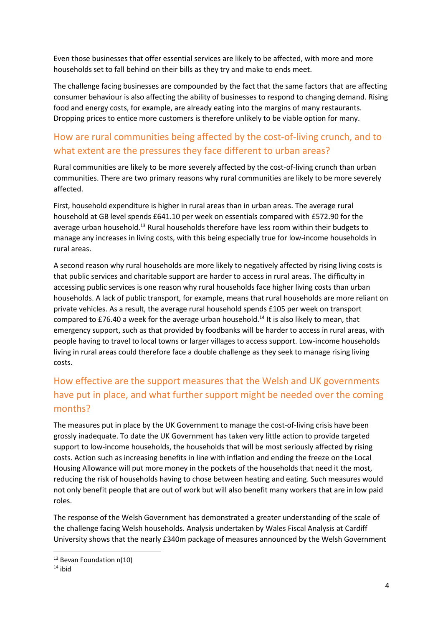Even those businesses that offer essential services are likely to be affected, with more and more households set to fall behind on their bills as they try and make to ends meet.

The challenge facing businesses are compounded by the fact that the same factors that are affecting consumer behaviour is also affecting the ability of businesses to respond to changing demand. Rising food and energy costs, for example, are already eating into the margins of many restaurants. Dropping prices to entice more customers is therefore unlikely to be viable option for many.

### How are rural communities being affected by the cost-of-living crunch, and to what extent are the pressures they face different to urban areas?

Rural communities are likely to be more severely affected by the cost-of-living crunch than urban communities. There are two primary reasons why rural communities are likely to be more severely affected.

First, household expenditure is higher in rural areas than in urban areas. The average rural household at GB level spends £641.10 per week on essentials compared with £572.90 for the average urban household.<sup>13</sup> Rural households therefore have less room within their budgets to manage any increases in living costs, with this being especially true for low-income households in rural areas.

A second reason why rural households are more likely to negatively affected by rising living costs is that public services and charitable support are harder to access in rural areas. The difficulty in accessing public services is one reason why rural households face higher living costs than urban households. A lack of public transport, for example, means that rural households are more reliant on private vehicles. As a result, the average rural household spends £105 per week on transport compared to £76.40 a week for the average urban household.<sup>14</sup> It is also likely to mean, that emergency support, such as that provided by foodbanks will be harder to access in rural areas, with people having to travel to local towns or larger villages to access support. Low-income households living in rural areas could therefore face a double challenge as they seek to manage rising living costs.

## How effective are the support measures that the Welsh and UK governments have put in place, and what further support might be needed over the coming months?

The measures put in place by the UK Government to manage the cost-of-living crisis have been grossly inadequate. To date the UK Government has taken very little action to provide targeted support to low-income households, the households that will be most seriously affected by rising costs. Action such as increasing benefits in line with inflation and ending the freeze on the Local Housing Allowance will put more money in the pockets of the households that need it the most, reducing the risk of households having to chose between heating and eating. Such measures would not only benefit people that are out of work but will also benefit many workers that are in low paid roles.

The response of the Welsh Government has demonstrated a greater understanding of the scale of the challenge facing Welsh households. Analysis undertaken by Wales Fiscal Analysis at Cardiff University shows that the nearly £340m package of measures announced by the Welsh Government

1

<sup>&</sup>lt;sup>13</sup> Bevan Foundation n(10)

 $14$  ibid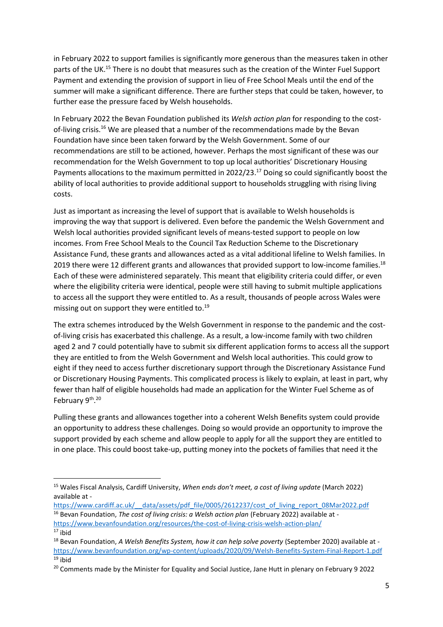in February 2022 to support families is significantly more generous than the measures taken in other parts of the UK.<sup>15</sup> There is no doubt that measures such as the creation of the Winter Fuel Support Payment and extending the provision of support in lieu of Free School Meals until the end of the summer will make a significant difference. There are further steps that could be taken, however, to further ease the pressure faced by Welsh households.

In February 2022 the Bevan Foundation published its *Welsh action plan* for responding to the costof-living crisis.<sup>16</sup> We are pleased that a number of the recommendations made by the Bevan Foundation have since been taken forward by the Welsh Government. Some of our recommendations are still to be actioned, however. Perhaps the most significant of these was our recommendation for the Welsh Government to top up local authorities' Discretionary Housing Payments allocations to the maximum permitted in 2022/23.<sup>17</sup> Doing so could significantly boost the ability of local authorities to provide additional support to households struggling with rising living costs.

Just as important as increasing the level of support that is available to Welsh households is improving the way that support is delivered. Even before the pandemic the Welsh Government and Welsh local authorities provided significant levels of means-tested support to people on low incomes. From Free School Meals to the Council Tax Reduction Scheme to the Discretionary Assistance Fund, these grants and allowances acted as a vital additional lifeline to Welsh families. In 2019 there were 12 different grants and allowances that provided support to low-income families.<sup>18</sup> Each of these were administered separately. This meant that eligibility criteria could differ, or even where the eligibility criteria were identical, people were still having to submit multiple applications to access all the support they were entitled to. As a result, thousands of people across Wales were missing out on support they were entitled to. 19

The extra schemes introduced by the Welsh Government in response to the pandemic and the costof-living crisis has exacerbated this challenge. As a result, a low-income family with two children aged 2 and 7 could potentially have to submit six different application forms to access all the support they are entitled to from the Welsh Government and Welsh local authorities. This could grow to eight if they need to access further discretionary support through the Discretionary Assistance Fund or Discretionary Housing Payments. This complicated process is likely to explain, at least in part, why fewer than half of eligible households had made an application for the Winter Fuel Scheme as of February 9th.<sup>20</sup>

Pulling these grants and allowances together into a coherent Welsh Benefits system could provide an opportunity to address these challenges. Doing so would provide an opportunity to improve the support provided by each scheme and allow people to apply for all the support they are entitled to in one place. This could boost take-up, putting money into the pockets of families that need it the

1

<sup>15</sup> Wales Fiscal Analysis, Cardiff University, *When ends don't meet, a cost of living update* (March 2022) available at -

https://www.cardiff.ac.uk/ data/assets/pdf file/0005/2612237/cost\_of\_living\_report\_08Mar2022.pdf

<sup>&</sup>lt;sup>16</sup> Bevan Foundation, *The cost of living crisis: a Welsh action plan* (February 2022) available at -

<https://www.bevanfoundation.org/resources/the-cost-of-living-crisis-welsh-action-plan/>

 $17$  ibid

<sup>18</sup> Bevan Foundation, *A Welsh Benefits System, how it can help solve poverty* (September 2020) available at <https://www.bevanfoundation.org/wp-content/uploads/2020/09/Welsh-Benefits-System-Final-Report-1.pdf>  $19$  ibid

<sup>&</sup>lt;sup>20</sup> Comments made by the Minister for Equality and Social Justice, Jane Hutt in plenary on February 9 2022